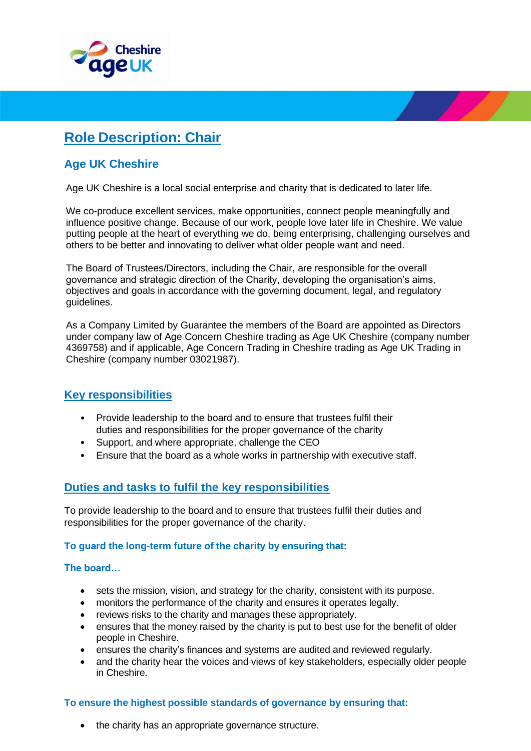

# **Role Description: Chair**

# **Age UK Cheshire**

Age UK Cheshire is a local social enterprise and charity that is dedicated to later life.

We co-produce excellent services, make opportunities, connect people meaningfully and influence positive change. Because of our work, people love later life in Cheshire. We value putting people at the heart of everything we do, being enterprising, challenging ourselves and others to be better and innovating to deliver what older people want and need.

The Board of Trustees/Directors, including the Chair, are responsible for the overall governance and strategic direction of the Charity, developing the organisation's aims, objectives and goals in accordance with the governing document, legal, and regulatory guidelines.

As a Company Limited by Guarantee the members of the Board are appointed as Directors under company law of Age Concern Cheshire trading as Age UK Cheshire (company number 4369758) and if applicable, Age Concern Trading in Cheshire trading as Age UK Trading in Cheshire (company number 03021987).

## **Key responsibilities**

- Provide leadership to the board and to ensure that trustees fulfil their duties and responsibilities for the proper governance of the charity
- Support, and where appropriate, challenge the CEO
- Ensure that the board as a whole works in partnership with executive staff.

## **Duties and tasks to fulfil the key responsibilities**

To provide leadership to the board and to ensure that trustees fulfil their duties and responsibilities for the proper governance of the charity.

### **To guard the long-term future of the charity by ensuring that:**

### **The board…**

- sets the mission, vision, and strategy for the charity, consistent with its purpose.
- monitors the performance of the charity and ensures it operates legally.
- reviews risks to the charity and manages these appropriately.
- ensures that the money raised by the charity is put to best use for the benefit of older people in Cheshire.
- ensures the charity's finances and systems are audited and reviewed regularly.
- and the charity hear the voices and views of key stakeholders, especially older people in Cheshire.

### **To ensure the highest possible standards of governance by ensuring that:**

• the charity has an appropriate governance structure.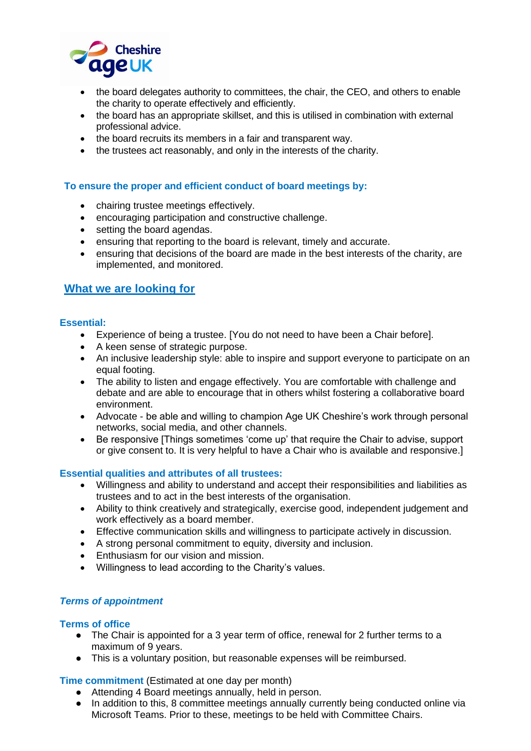

- the board delegates authority to committees, the chair, the CEO, and others to enable the charity to operate effectively and efficiently.
- the board has an appropriate skillset, and this is utilised in combination with external professional advice.
- the board recruits its members in a fair and transparent way.
- the trustees act reasonably, and only in the interests of the charity.

### **To ensure the proper and efficient conduct of board meetings by:**

- chairing trustee meetings effectively.
- encouraging participation and constructive challenge.
- setting the board agendas.
- ensuring that reporting to the board is relevant, timely and accurate.
- ensuring that decisions of the board are made in the best interests of the charity, are implemented, and monitored.

### **What we are looking for**

### **Essential:**

- Experience of being a trustee. [You do not need to have been a Chair before].
- A keen sense of strategic purpose.
- An inclusive leadership style: able to inspire and support everyone to participate on an equal footing.
- The ability to listen and engage effectively. You are comfortable with challenge and debate and are able to encourage that in others whilst fostering a collaborative board environment.
- Advocate be able and willing to champion Age UK Cheshire's work through personal networks, social media, and other channels.
- Be responsive [Things sometimes 'come up' that require the Chair to advise, support or give consent to. It is very helpful to have a Chair who is available and responsive.]

### **Essential qualities and attributes of all trustees:**

- Willingness and ability to understand and accept their responsibilities and liabilities as trustees and to act in the best interests of the organisation.
- Ability to think creatively and strategically, exercise good, independent judgement and work effectively as a board member.
- Effective communication skills and willingness to participate actively in discussion.
- A strong personal commitment to equity, diversity and inclusion.
- Enthusiasm for our vision and mission.
- Willingness to lead according to the Charity's values.

### *Terms of appointment*

#### **Terms of office**

- The Chair is appointed for a 3 year term of office, renewal for 2 further terms to a maximum of 9 years.
- This is a voluntary position, but reasonable expenses will be reimbursed.

#### **Time commitment** (Estimated at one day per month)

- Attending 4 Board meetings annually, held in person.
- In addition to this, 8 committee meetings annually currently being conducted online via Microsoft Teams. Prior to these, meetings to be held with Committee Chairs.